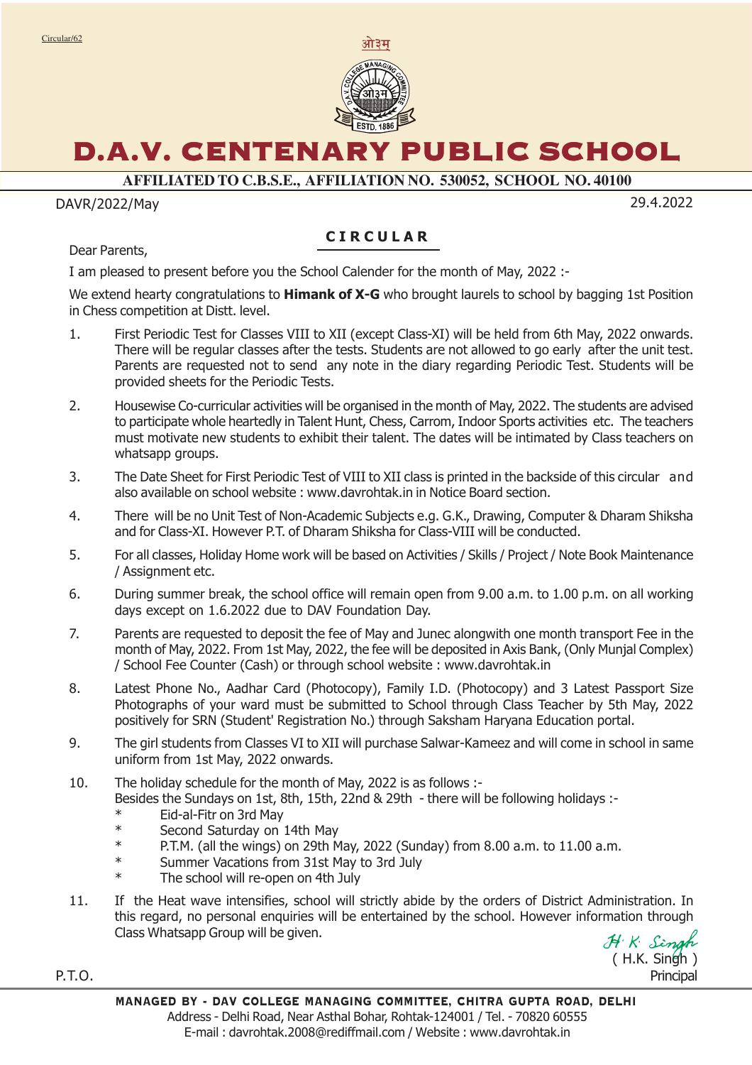

# D.A.V. CENTENARY PUBLIC SCHOOL

**AFFILIATED TO C.B.S.E., AFFILIATION NO. 530052, SCHOOL NO. 40100**

#### DAVR/2022/May 29.4.2022

### **CIRCULAR**

Dear Parents,

I am pleased to present before you the School Calender for the month of May, 2022 :-

We extend hearty congratulations to **Himank of X-G** who brought laurels to school by bagging 1st Position in Chess competition at Distt. level.

- 1. First Periodic Test for Classes VIII to XII (except Class-XI) will be held from 6th May, 2022 onwards. There will be regular classes after the tests. Students are not allowed to go early after the unit test. Parents are requested not to send any note in the diary regarding Periodic Test. Students will be provided sheets for the Periodic Tests.
- 2. Housewise Co-curricular activities will be organised in the month of May, 2022. The students are advised to participate whole heartedly in Talent Hunt, Chess, Carrom, Indoor Sports activities etc. The teachers must motivate new students to exhibit their talent. The dates will be intimated by Class teachers on whatsapp groups.
- 3. The Date Sheet for First Periodic Test of VIII to XII class is printed in the backside of this circular and also available on school website : www.davrohtak.in in Notice Board section.
- 4. There will be no Unit Test of Non-Academic Subjects e.g. G.K., Drawing, Computer & Dharam Shiksha and for Class-XI. However P.T. of Dharam Shiksha for Class-VIII will be conducted.
- 5. For all classes, Holiday Home work will be based on Activities / Skills / Project / Note Book Maintenance / Assignment etc.
- 6. During summer break, the school office will remain open from 9.00 a.m. to 1.00 p.m. on all working days except on 1.6.2022 due to DAV Foundation Day.
- 7. Parents are requested to deposit the fee of May and Junec alongwith one month transport Fee in the month of May, 2022. From 1st May, 2022, the fee will be deposited in Axis Bank, (Only Munjal Complex) / School Fee Counter (Cash) or through school website : www.davrohtak.in
- 8. Latest Phone No., Aadhar Card (Photocopy), Family I.D. (Photocopy) and 3 Latest Passport Size Photographs of your ward must be submitted to School through Class Teacher by 5th May, 2022 positively for SRN (Student' Registration No.) through Saksham Haryana Education portal.
- 9. The girl students from Classes VI to XII will purchase Salwar-Kameez and will come in school in same uniform from 1st May, 2022 onwards.
- 10. The holiday schedule for the month of May, 2022 is as follows :- Besides the Sundays on 1st, 8th, 15th, 22nd & 29th - there will be following holidays :-
	- \* Eid-al-Fitr on 3rd May Second Saturday on 14th May
	- \* P.T.M. (all the wings) on 29th May, 2022 (Sunday) from 8.00 a.m. to 11.00 a.m.
	- \* Summer Vacations from 31st May to 3rd July.
	- The school will re-open on 4th July
- 11. If the Heat wave intensifies, school will strictly abide by the orders of District Administration. In this regard, no personal enquiries will be entertained by the school. However information through Class Whatsapp Group will be given.

( H.K. Singh ) Principal

P.T.O.